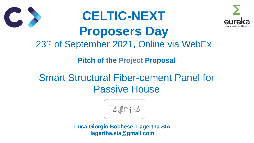- **Pitch of the Project Proposal**
- Smart Structural Fiber-cement Panel for Passive House

$$
\text{OPT} \text{A} \text{A}
$$



# **CELTIC-NEXT Proposers Day** 23rd of September 2021, Online via WebEx





**Luca Giorgio Bochese, Lagertha SIA lagertha.sia@gmail.com**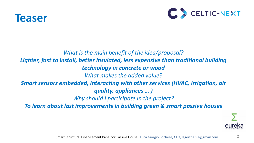

### *What is the main benefit of the idea/proposal?*  Lighter, fast to install, better insulated, less expensive than traditional building *technology in concrete or wood What makes the added value? Smart sensors embedded, interacting with other services (HVAC, irrigation, air quality, appliances … ) Why should I participate in the project? To learn about last improvements in building green & smart passive houses*



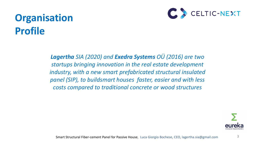## **Organisation Profile**

3

*Lagertha SIA (2020) and Exedra Systems OÜ (2016) are two startups bringing innovation in the real estate development industry, with a new smart prefabricated structural insulated panel (SIP), to buildsmart houses faster, easier and with less costs compared to traditional concrete or wood structures*

Smart Structural Fiber-cement Panel for Passive House, Luca Giorgio Bochese, CEO, lagertha.sia@gmail.com



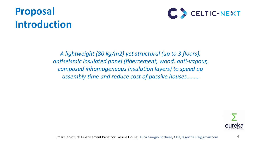## **Proposal Introduction**

4

### *A lightweight (80 kg/m2) yet structural (up to 3 floors), antiseismic insulated panel (fibercement, wood, anti-vapour, composed inhomogeneous insulation layers) to speed up assembly time and reduce cost of passive houses……..*



Smart Structural Fiber-cement Panel for Passive House, Luca Giorgio Bochese, CEO, lagertha.sia@gmail.com

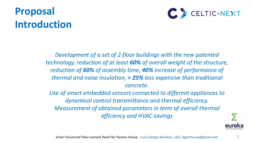### **Proposal Introduction**



- *Development of a set of 2-floor buildings with the new patented technology, reduction of at least 60% of overall weight of the structure, reduction of 60% of assembly time, 40% increase of performance of thermal and noise insulation, > 25% less expensive than traditional concrete.* 
	- *Use of smart embedded sensors connected to different appliances to dynamical control transmittance and thermal efficiency. Measurement of obtained parameters in term of overall thermal efficiency and HVAC savings*

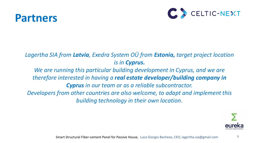### **Partners**

*therefore interested in having a real estate developer/building company in* 

- *Lagertha SIA from Latvia, Exedra System OÜ from Estonia, target project location is in Cyprus.*
	- *We are running this particular building development in Cyprus, and we are* 
		- *Cyprus in our team or as a reliable subcontractor.*
- *Developers from other countries are also welcome, to adapt and implement this building technology in their own location.*



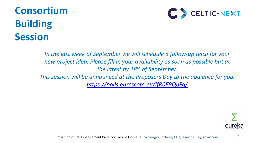## **Consortium Building Session**

In the last week of September we will schedule a follow-up telco for your new project idea. Please fill in your availability as soon as possible but at *the latest by 18 th of September. This session will be announced at the Proposers Day to the audience for you. <https://polls.eurescom.eu/IfR0E8QbFg/>*



Smart Structural Fiber-cement Panel for Passive House, Luca Giorgio Bochese, CEO, lagertha.sia@gmail.com

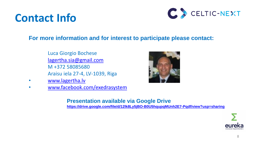## **Contact Info**

### **For more information and for interest to participate please contact:**

- Luca Giorgio Bochese
- [lagertha.sia@gmail.com](mailto:lagertha.sia@gmail.com)
- M +372 58085680
- Araisu iela 27-4, LV-1039, Riga
- [www.lagertha.lv](http://www.lagertha.lv/)
- [www.facebook.com/exedrasystem](http://www.facebook.com/exedrasystem)

### **Presentation available via Google Drive <https://drive.google.com/file/d/12lk8Ly5jBO-B0U5hqupqMUnh2E7-Pqdf/view?usp=sharing>**